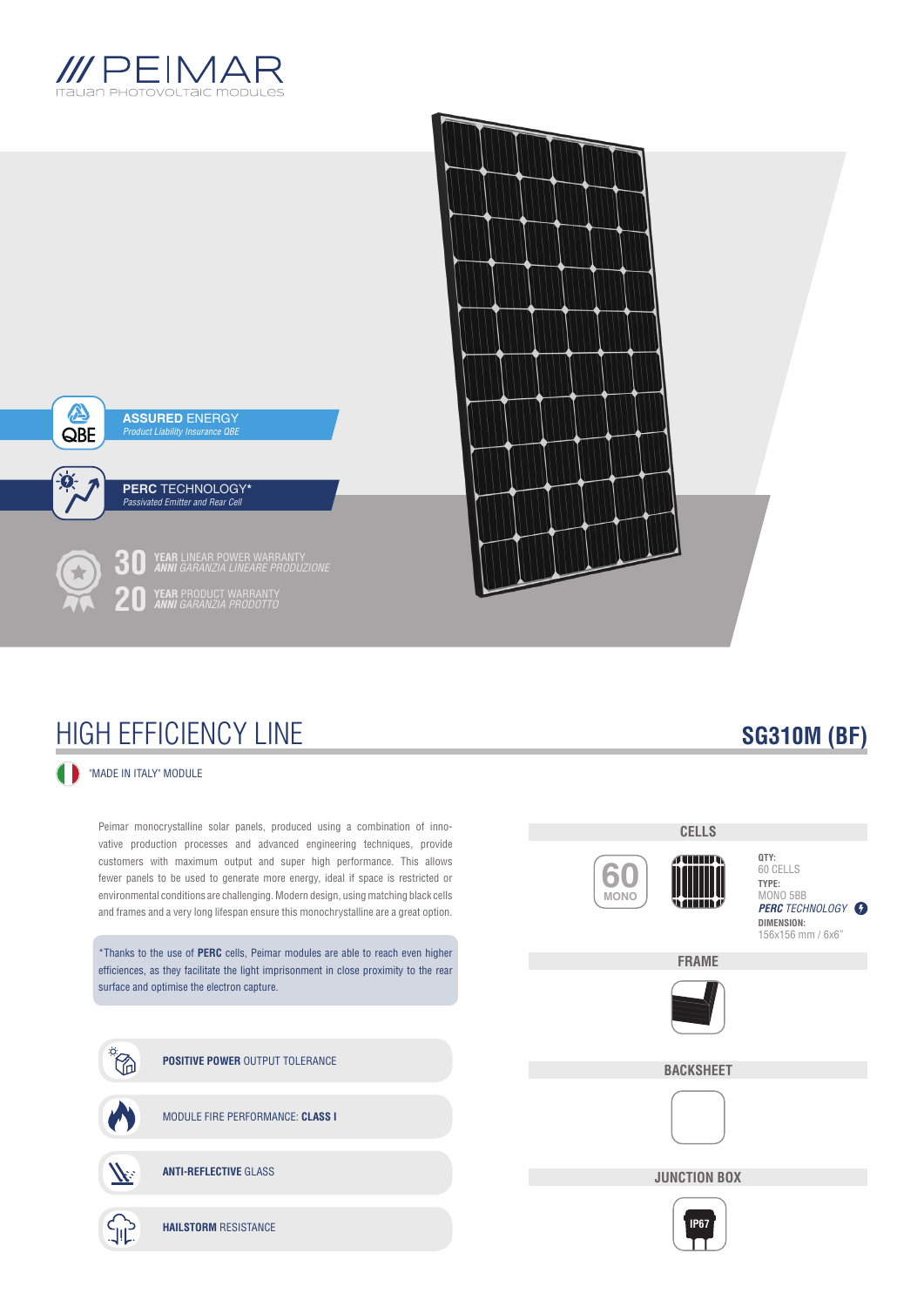



## HIGH EFFICIENCY LINE

### "MADE IN ITALY" MODULE

Peimar monocrystalline solar panels, produced using a combination of innovative production processes and advanced engineering techniques, provide customers with maximum output and super high performance. This allows fewer panels to be used to generate more energy, ideal if space is restricted or environmental conditions are challenging. Modern design, using matching black cells and frames and a very long lifespan ensure this monochrystalline are a great option.

\*Thanks to the use of **PERC** cells, Peimar modules are able to reach even higher efficiences, as they facilitate the light imprisonment in close proximity to the rear surface and optimise the electron capture.



## **CELLS ATHER 60 MONO** s anns a



**BACKSHEET**



**JUNCTION BOX**



## **SG310M (BF)**

**PERC** TECHNOLOGY **O** 

**QTY:** 60 CELLS **TYPE:** MONO 5BB

**DIMENSION:** 156x156 mm / 6x6"